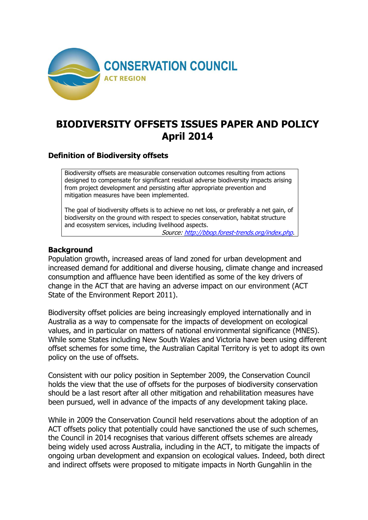

# **BIODIVERSITY OFFSETS ISSUES PAPER AND POLICY April 2014**

### **Definition of Biodiversity offsets**

Biodiversity offsets are measurable conservation outcomes resulting from actions designed to compensate for significant residual adverse biodiversity impacts arising from project development and persisting after appropriate prevention and mitigation measures have been implemented.

The goal of biodiversity offsets is to achieve no net loss, or preferably a net gain, of biodiversity on the ground with respect to species conservation, habitat structure and ecosystem services, including livelihood aspects.

Source:<http://bbop.forest-trends.org/index.php>.

#### **Background**

Population growth, increased areas of land zoned for urban development and increased demand for additional and diverse housing, climate change and increased consumption and affluence have been identified as some of the key drivers of change in the ACT that are having an adverse impact on our environment (ACT State of the Environment Report 2011).

Biodiversity offset policies are being increasingly employed internationally and in Australia as a way to compensate for the impacts of development on ecological values, and in particular on matters of national environmental significance (MNES). While some States including New South Wales and Victoria have been using different offset schemes for some time, the Australian Capital Territory is yet to adopt its own policy on the use of offsets.

Consistent with our policy position in September 2009, the Conservation Council holds the view that the use of offsets for the purposes of biodiversity conservation should be a last resort after all other mitigation and rehabilitation measures have been pursued, well in advance of the impacts of any development taking place.

While in 2009 the Conservation Council held reservations about the adoption of an ACT offsets policy that potentially could have sanctioned the use of such schemes, the Council in 2014 recognises that various different offsets schemes are already being widely used across Australia, including in the ACT, to mitigate the impacts of ongoing urban development and expansion on ecological values. Indeed, both direct and indirect offsets were proposed to mitigate impacts in North Gungahlin in the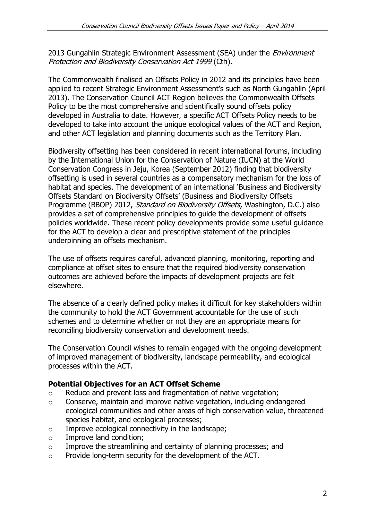2013 Gungahlin Strategic Environment Assessment (SEA) under the *Environment* Protection and Biodiversity Conservation Act 1999 (Cth).

The Commonwealth finalised an Offsets Policy in 2012 and its principles have been applied to recent Strategic Environment Assessment's such as North Gungahlin (April 2013). The Conservation Council ACT Region believes the Commonwealth Offsets Policy to be the most comprehensive and scientifically sound offsets policy developed in Australia to date. However, a specific ACT Offsets Policy needs to be developed to take into account the unique ecological values of the ACT and Region, and other ACT legislation and planning documents such as the Territory Plan.

Biodiversity offsetting has been considered in recent international forums, including by the International Union for the Conservation of Nature (IUCN) at the World Conservation Congress in Jeju, Korea (September 2012) finding that biodiversity offsetting is used in several countries as a compensatory mechanism for the loss of habitat and species. The development of an international 'Business and Biodiversity Offsets Standard on Biodiversity Offsets' (Business and Biodiversity Offsets Programme (BBOP) 2012, Standard on Biodiversity Offsets, Washington, D.C.) also provides a set of comprehensive principles to guide the development of offsets policies worldwide. These recent policy developments provide some useful guidance for the ACT to develop a clear and prescriptive statement of the principles underpinning an offsets mechanism.

The use of offsets requires careful, advanced planning, monitoring, reporting and compliance at offset sites to ensure that the required biodiversity conservation outcomes are achieved before the impacts of development projects are felt elsewhere.

The absence of a clearly defined policy makes it difficult for key stakeholders within the community to hold the ACT Government accountable for the use of such schemes and to determine whether or not they are an appropriate means for reconciling biodiversity conservation and development needs.

The Conservation Council wishes to remain engaged with the ongoing development of improved management of biodiversity, landscape permeability, and ecological processes within the ACT.

### **Potential Objectives for an ACT Offset Scheme**

- o Reduce and prevent loss and fragmentation of native vegetation;
- o Conserve, maintain and improve native vegetation, including endangered ecological communities and other areas of high conservation value, threatened species habitat, and ecological processes;
- o Improve ecological connectivity in the landscape;
- o Improve land condition;
- o Improve the streamlining and certainty of planning processes; and
- o Provide long-term security for the development of the ACT.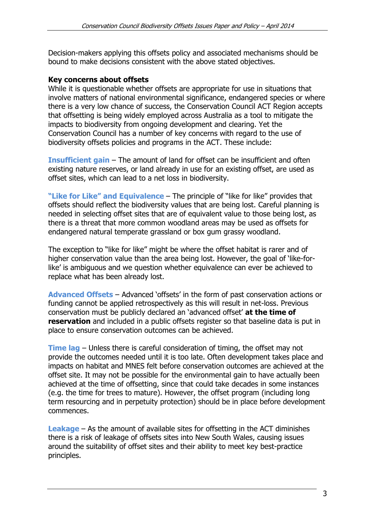Decision-makers applying this offsets policy and associated mechanisms should be bound to make decisions consistent with the above stated objectives.

#### **Key concerns about offsets**

While it is questionable whether offsets are appropriate for use in situations that involve matters of national environmental significance, endangered species or where there is a very low chance of success, the Conservation Council ACT Region accepts that offsetting is being widely employed across Australia as a tool to mitigate the impacts to biodiversity from ongoing development and clearing. Yet the Conservation Council has a number of key concerns with regard to the use of biodiversity offsets policies and programs in the ACT. These include:

**Insufficient gain** – The amount of land for offset can be insufficient and often existing nature reserves, or land already in use for an existing offset, are used as offset sites, which can lead to a net loss in biodiversity.

**"Like for Like" and Equivalence** – The principle of "like for like" provides that offsets should reflect the biodiversity values that are being lost. Careful planning is needed in selecting offset sites that are of equivalent value to those being lost, as there is a threat that more common woodland areas may be used as offsets for endangered natural temperate grassland or box gum grassy woodland.

The exception to "like for like" might be where the offset habitat is rarer and of higher conservation value than the area being lost. However, the goal of 'like-forlike' is ambiguous and we question whether equivalence can ever be achieved to replace what has been already lost.

**Advanced Offsets** – Advanced 'offsets' in the form of past conservation actions or funding cannot be applied retrospectively as this will result in net-loss. Previous conservation must be publicly declared an 'advanced offset' **at the time of reservation** and included in a public offsets register so that baseline data is put in place to ensure conservation outcomes can be achieved.

**Time lag** – Unless there is careful consideration of timing, the offset may not provide the outcomes needed until it is too late. Often development takes place and impacts on habitat and MNES felt before conservation outcomes are achieved at the offset site. It may not be possible for the environmental gain to have actually been achieved at the time of offsetting, since that could take decades in some instances (e.g. the time for trees to mature). However, the offset program (including long term resourcing and in perpetuity protection) should be in place before development commences.

**Leakage** – As the amount of available sites for offsetting in the ACT diminishes there is a risk of leakage of offsets sites into New South Wales, causing issues around the suitability of offset sites and their ability to meet key best-practice principles.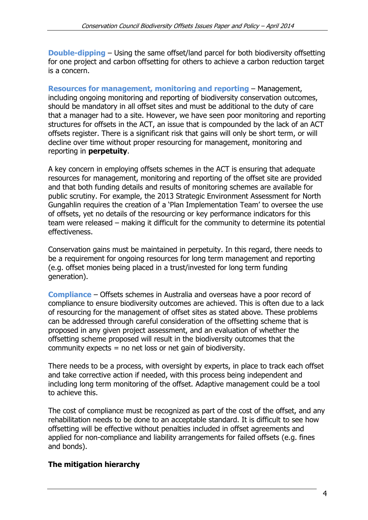**Double-dipping** – Using the same offset/land parcel for both biodiversity offsetting for one project and carbon offsetting for others to achieve a carbon reduction target is a concern.

**Resources for management, monitoring and reporting** – Management, including ongoing monitoring and reporting of biodiversity conservation outcomes, should be mandatory in all offset sites and must be additional to the duty of care that a manager had to a site. However, we have seen poor monitoring and reporting structures for offsets in the ACT, an issue that is compounded by the lack of an ACT offsets register. There is a significant risk that gains will only be short term, or will decline over time without proper resourcing for management, monitoring and reporting in **perpetuity**.

A key concern in employing offsets schemes in the ACT is ensuring that adequate resources for management, monitoring and reporting of the offset site are provided and that both funding details and results of monitoring schemes are available for public scrutiny. For example, the 2013 Strategic Environment Assessment for North Gungahlin requires the creation of a 'Plan Implementation Team' to oversee the use of offsets, yet no details of the resourcing or key performance indicators for this team were released – making it difficult for the community to determine its potential effectiveness.

Conservation gains must be maintained in perpetuity. In this regard, there needs to be a requirement for ongoing resources for long term management and reporting (e.g. offset monies being placed in a trust/invested for long term funding generation).

**Compliance** – Offsets schemes in Australia and overseas have a poor record of compliance to ensure biodiversity outcomes are achieved. This is often due to a lack of resourcing for the management of offset sites as stated above. These problems can be addressed through careful consideration of the offsetting scheme that is proposed in any given project assessment, and an evaluation of whether the offsetting scheme proposed will result in the biodiversity outcomes that the community expects = no net loss or net gain of biodiversity.

There needs to be a process, with oversight by experts, in place to track each offset and take corrective action if needed, with this process being independent and including long term monitoring of the offset. Adaptive management could be a tool to achieve this.

The cost of compliance must be recognized as part of the cost of the offset, and any rehabilitation needs to be done to an acceptable standard. It is difficult to see how offsetting will be effective without penalties included in offset agreements and applied for non-compliance and liability arrangements for failed offsets (e.g. fines and bonds).

### **The mitigation hierarchy**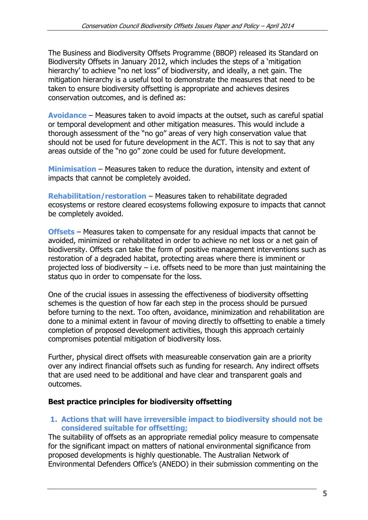The Business and Biodiversity Offsets Programme (BBOP) released its Standard on Biodiversity Offsets in January 2012, which includes the steps of a 'mitigation hierarchy' to achieve "no net loss" of biodiversity, and ideally, a net gain. The mitigation hierarchy is a useful tool to demonstrate the measures that need to be taken to ensure biodiversity offsetting is appropriate and achieves desires conservation outcomes, and is defined as:

**Avoidance** – Measures taken to avoid impacts at the outset, such as careful spatial or temporal development and other mitigation measures. This would include a thorough assessment of the "no go" areas of very high conservation value that should not be used for future development in the ACT. This is not to say that any areas outside of the "no go" zone could be used for future development.

**Minimisation** – Measures taken to reduce the duration, intensity and extent of impacts that cannot be completely avoided.

**Rehabilitation/restoration** – Measures taken to rehabilitate degraded ecosystems or restore cleared ecosystems following exposure to impacts that cannot be completely avoided.

**Offsets** – Measures taken to compensate for any residual impacts that cannot be avoided, minimized or rehabilitated in order to achieve no net loss or a net gain of biodiversity. Offsets can take the form of positive management interventions such as restoration of a degraded habitat, protecting areas where there is imminent or projected loss of biodiversity  $-$  i.e. offsets need to be more than just maintaining the status quo in order to compensate for the loss.

One of the crucial issues in assessing the effectiveness of biodiversity offsetting schemes is the question of how far each step in the process should be pursued before turning to the next. Too often, avoidance, minimization and rehabilitation are done to a minimal extent in favour of moving directly to offsetting to enable a timely completion of proposed development activities, though this approach certainly compromises potential mitigation of biodiversity loss.

Further, physical direct offsets with measureable conservation gain are a priority over any indirect financial offsets such as funding for research. Any indirect offsets that are used need to be additional and have clear and transparent goals and outcomes.

#### **Best practice principles for biodiversity offsetting**

#### **1. Actions that will have irreversible impact to biodiversity should not be considered suitable for offsetting;**

The suitability of offsets as an appropriate remedial policy measure to compensate for the significant impact on matters of national environmental significance from proposed developments is highly questionable. The Australian Network of Environmental Defenders Office's (ANEDO) in their submission commenting on the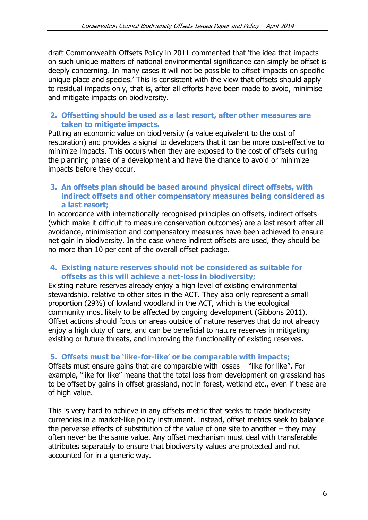draft Commonwealth Offsets Policy in 2011 commented that 'the idea that impacts on such unique matters of national environmental significance can simply be offset is deeply concerning. In many cases it will not be possible to offset impacts on specific unique place and species.' This is consistent with the view that offsets should apply to residual impacts only, that is, after all efforts have been made to avoid, minimise and mitigate impacts on biodiversity.

#### **2. Offsetting should be used as a last resort, after other measures are taken to mitigate impacts.**

Putting an economic value on biodiversity (a value equivalent to the cost of restoration) and provides a signal to developers that it can be more cost-effective to minimize impacts. This occurs when they are exposed to the cost of offsets during the planning phase of a development and have the chance to avoid or minimize impacts before they occur.

#### **3. An offsets plan should be based around physical direct offsets, with indirect offsets and other compensatory measures being considered as a last resort;**

In accordance with internationally recognised principles on offsets, indirect offsets (which make it difficult to measure conservation outcomes) are a last resort after all avoidance, minimisation and compensatory measures have been achieved to ensure net gain in biodiversity. In the case where indirect offsets are used, they should be no more than 10 per cent of the overall offset package.

### **4. Existing nature reserves should not be considered as suitable for offsets as this will achieve a net-loss in biodiversity;**

Existing nature reserves already enjoy a high level of existing environmental stewardship, relative to other sites in the ACT. They also only represent a small proportion (29%) of lowland woodland in the ACT, which is the ecological community most likely to be affected by ongoing development (Gibbons 2011). Offset actions should focus on areas outside of nature reserves that do not already enjoy a high duty of care, and can be beneficial to nature reserves in mitigating existing or future threats, and improving the functionality of existing reserves.

### **5. Offsets must be 'like-for-like' or be comparable with impacts;**

Offsets must ensure gains that are comparable with losses – "like for like". For example, "like for like" means that the total loss from development on grassland has to be offset by gains in offset grassland, not in forest, wetland etc., even if these are of high value.

This is very hard to achieve in any offsets metric that seeks to trade biodiversity currencies in a market-like policy instrument. Instead, offset metrics seek to balance the perverse effects of substitution of the value of one site to another  $-$  they may often never be the same value. Any offset mechanism must deal with transferable attributes separately to ensure that biodiversity values are protected and not accounted for in a generic way.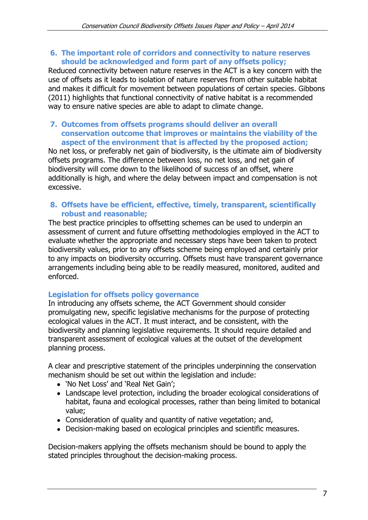#### **6. The important role of corridors and connectivity to nature reserves should be acknowledged and form part of any offsets policy;**

Reduced connectivity between nature reserves in the ACT is a key concern with the use of offsets as it leads to isolation of nature reserves from other suitable habitat and makes it difficult for movement between populations of certain species. Gibbons (2011) highlights that functional connectivity of native habitat is a recommended way to ensure native species are able to adapt to climate change.

#### **7. Outcomes from offsets programs should deliver an overall conservation outcome that improves or maintains the viability of the aspect of the environment that is affected by the proposed action;**

No net loss, or preferably net gain of biodiversity, is the ultimate aim of biodiversity offsets programs. The difference between loss, no net loss, and net gain of biodiversity will come down to the likelihood of success of an offset, where additionally is high, and where the delay between impact and compensation is not excessive.

#### **8. Offsets have be efficient, effective, timely, transparent, scientifically robust and reasonable;**

The best practice principles to offsetting schemes can be used to underpin an assessment of current and future offsetting methodologies employed in the ACT to evaluate whether the appropriate and necessary steps have been taken to protect biodiversity values, prior to any offsets scheme being employed and certainly prior to any impacts on biodiversity occurring. Offsets must have transparent governance arrangements including being able to be readily measured, monitored, audited and enforced.

#### **Legislation for offsets policy governance**

In introducing any offsets scheme, the ACT Government should consider promulgating new, specific legislative mechanisms for the purpose of protecting ecological values in the ACT. It must interact, and be consistent, with the biodiversity and planning legislative requirements. It should require detailed and transparent assessment of ecological values at the outset of the development planning process.

A clear and prescriptive statement of the principles underpinning the conservation mechanism should be set out within the legislation and include:

- 'No Net Loss' and 'Real Net Gain';
- Landscape level protection, including the broader ecological considerations of habitat, fauna and ecological processes, rather than being limited to botanical value;
- Consideration of quality and quantity of native vegetation; and,
- Decision-making based on ecological principles and scientific measures.

Decision-makers applying the offsets mechanism should be bound to apply the stated principles throughout the decision-making process.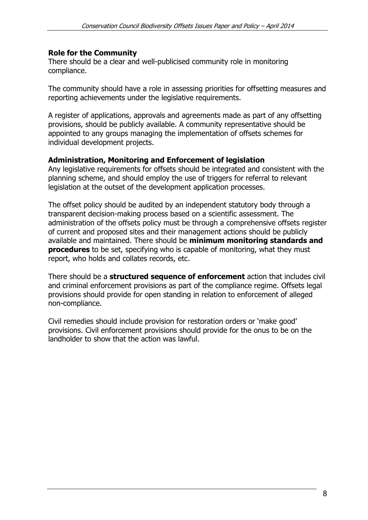#### **Role for the Community**

There should be a clear and well-publicised community role in monitoring compliance.

The community should have a role in assessing priorities for offsetting measures and reporting achievements under the legislative requirements.

A register of applications, approvals and agreements made as part of any offsetting provisions, should be publicly available. A community representative should be appointed to any groups managing the implementation of offsets schemes for individual development projects.

#### **Administration, Monitoring and Enforcement of legislation**

Any legislative requirements for offsets should be integrated and consistent with the planning scheme, and should employ the use of triggers for referral to relevant legislation at the outset of the development application processes.

The offset policy should be audited by an independent statutory body through a transparent decision-making process based on a scientific assessment. The administration of the offsets policy must be through a comprehensive offsets register of current and proposed sites and their management actions should be publicly available and maintained. There should be **minimum monitoring standards and procedures** to be set, specifying who is capable of monitoring, what they must report, who holds and collates records, etc.

There should be a **structured sequence of enforcement** action that includes civil and criminal enforcement provisions as part of the compliance regime. Offsets legal provisions should provide for open standing in relation to enforcement of alleged non-compliance.

Civil remedies should include provision for restoration orders or 'make good' provisions. Civil enforcement provisions should provide for the onus to be on the landholder to show that the action was lawful.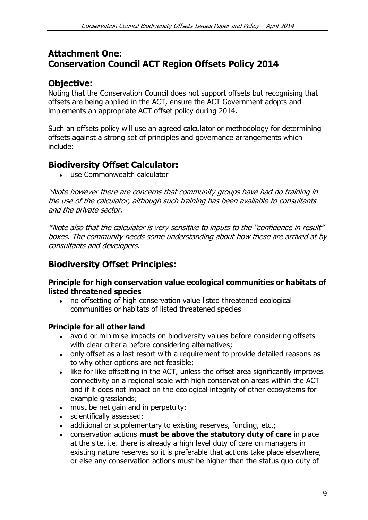## **Attachment One: Conservation Council ACT Region Offsets Policy 2014**

## **Objective:**

Noting that the Conservation Council does not support offsets but recognising that offsets are being applied in the ACT, ensure the ACT Government adopts and implements an appropriate ACT offset policy during 2014.

Such an offsets policy will use an agreed calculator or methodology for determining offsets against a strong set of principles and governance arrangements which include:

## **Biodiversity Offset Calculator:**

use Commonwealth calculator

\*Note however there are concerns that community groups have had no training in the use of the calculator, although such training has been available to consultants and the private sector.

\*Note also that the calculator is very sensitive to inputs to the "confidence in result" boxes. The community needs some understanding about how these are arrived at by consultants and developers.

## **Biodiversity Offset Principles:**

#### **Principle for high conservation value ecological communities or habitats of listed threatened species**

no offsetting of high conservation value listed threatened ecological communities or habitats of listed threatened species

## **Principle for all other land**

- avoid or minimise impacts on biodiversity values before considering offsets with clear criteria before considering alternatives;
- only offset as a last resort with a requirement to provide detailed reasons as to why other options are not feasible;
- like for like offsetting in the ACT, unless the offset area significantly improves connectivity on a regional scale with high conservation areas within the ACT and if it does not impact on the ecological integrity of other ecosystems for example grasslands;
- must be net gain and in perpetuity;
- scientifically assessed;
- additional or supplementary to existing reserves, funding, etc.;
- conservation actions **must be above the statutory duty of care** in place at the site, i.e. there is already a high level duty of care on managers in existing nature reserves so it is preferable that actions take place elsewhere, or else any conservation actions must be higher than the status quo duty of